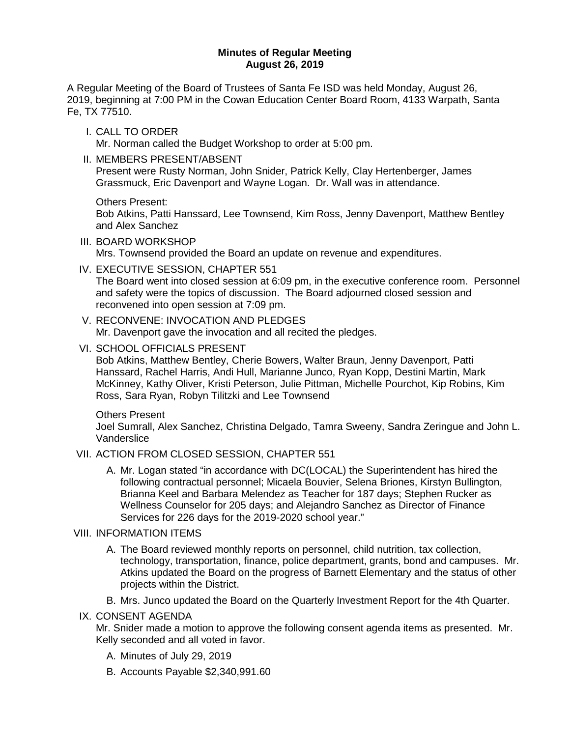#### **Minutes of Regular Meeting August 26, 2019**

A Regular Meeting of the Board of Trustees of Santa Fe ISD was held Monday, August 26, 2019, beginning at 7:00 PM in the Cowan Education Center Board Room, 4133 Warpath, Santa Fe, TX 77510.

I. CALL TO ORDER

Mr. Norman called the Budget Workshop to order at 5:00 pm.

II. MEMBERS PRESENT/ABSENT

Present were Rusty Norman, John Snider, Patrick Kelly, Clay Hertenberger, James Grassmuck, Eric Davenport and Wayne Logan. Dr. Wall was in attendance.

Others Present:

Bob Atkins, Patti Hanssard, Lee Townsend, Kim Ross, Jenny Davenport, Matthew Bentley and Alex Sanchez

III. BOARD WORKSHOP

Mrs. Townsend provided the Board an update on revenue and expenditures.

IV. EXECUTIVE SESSION, CHAPTER 551

The Board went into closed session at 6:09 pm, in the executive conference room. Personnel and safety were the topics of discussion. The Board adjourned closed session and reconvened into open session at 7:09 pm.

- V. RECONVENE: INVOCATION AND PLEDGES Mr. Davenport gave the invocation and all recited the pledges.
- VI. SCHOOL OFFICIALS PRESENT

Bob Atkins, Matthew Bentley, Cherie Bowers, Walter Braun, Jenny Davenport, Patti Hanssard, Rachel Harris, Andi Hull, Marianne Junco, Ryan Kopp, Destini Martin, Mark McKinney, Kathy Oliver, Kristi Peterson, Julie Pittman, Michelle Pourchot, Kip Robins, Kim Ross, Sara Ryan, Robyn Tilitzki and Lee Townsend

Others Present

Joel Sumrall, Alex Sanchez, Christina Delgado, Tamra Sweeny, Sandra Zeringue and John L. Vanderslice

### VII. ACTION FROM CLOSED SESSION, CHAPTER 551

A. Mr. Logan stated "in accordance with DC(LOCAL) the Superintendent has hired the following contractual personnel; Micaela Bouvier, Selena Briones, Kirstyn Bullington, Brianna Keel and Barbara Melendez as Teacher for 187 days; Stephen Rucker as Wellness Counselor for 205 days; and Alejandro Sanchez as Director of Finance Services for 226 days for the 2019-2020 school year."

### VIII. INFORMATION ITEMS

- A. The Board reviewed monthly reports on personnel, child nutrition, tax collection, technology, transportation, finance, police department, grants, bond and campuses. Mr. Atkins updated the Board on the progress of Barnett Elementary and the status of other projects within the District.
- B. Mrs. Junco updated the Board on the Quarterly Investment Report for the 4th Quarter.

### IX. CONSENT AGENDA

Mr. Snider made a motion to approve the following consent agenda items as presented. Mr. Kelly seconded and all voted in favor.

- A. Minutes of July 29, 2019
- B. Accounts Payable \$2,340,991.60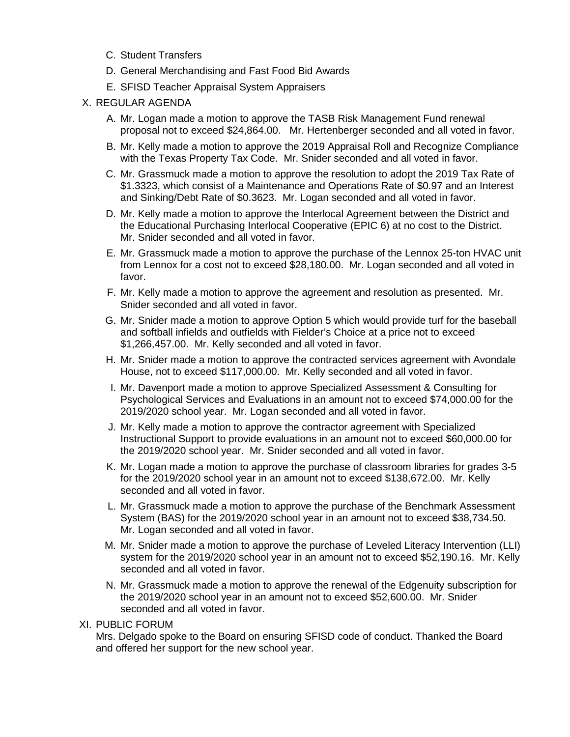- C. Student Transfers
- D. General Merchandising and Fast Food Bid Awards
- E. SFISD Teacher Appraisal System Appraisers
- X. REGULAR AGENDA
	- A. Mr. Logan made a motion to approve the TASB Risk Management Fund renewal proposal not to exceed \$24,864.00. Mr. Hertenberger seconded and all voted in favor.
	- B. Mr. Kelly made a motion to approve the 2019 Appraisal Roll and Recognize Compliance with the Texas Property Tax Code. Mr. Snider seconded and all voted in favor.
	- C. Mr. Grassmuck made a motion to approve the resolution to adopt the 2019 Tax Rate of \$1.3323, which consist of a Maintenance and Operations Rate of \$0.97 and an Interest and Sinking/Debt Rate of \$0.3623. Mr. Logan seconded and all voted in favor.
	- D. Mr. Kelly made a motion to approve the Interlocal Agreement between the District and the Educational Purchasing Interlocal Cooperative (EPIC 6) at no cost to the District. Mr. Snider seconded and all voted in favor.
	- E. Mr. Grassmuck made a motion to approve the purchase of the Lennox 25-ton HVAC unit from Lennox for a cost not to exceed \$28,180.00. Mr. Logan seconded and all voted in favor.
	- F. Mr. Kelly made a motion to approve the agreement and resolution as presented. Mr. Snider seconded and all voted in favor.
	- G. Mr. Snider made a motion to approve Option 5 which would provide turf for the baseball and softball infields and outfields with Fielder's Choice at a price not to exceed \$1,266,457.00. Mr. Kelly seconded and all voted in favor.
	- H. Mr. Snider made a motion to approve the contracted services agreement with Avondale House, not to exceed \$117,000.00. Mr. Kelly seconded and all voted in favor.
	- I. Mr. Davenport made a motion to approve Specialized Assessment & Consulting for Psychological Services and Evaluations in an amount not to exceed \$74,000.00 for the 2019/2020 school year. Mr. Logan seconded and all voted in favor.
	- J. Mr. Kelly made a motion to approve the contractor agreement with Specialized Instructional Support to provide evaluations in an amount not to exceed \$60,000.00 for the 2019/2020 school year. Mr. Snider seconded and all voted in favor.
	- K. Mr. Logan made a motion to approve the purchase of classroom libraries for grades 3-5 for the 2019/2020 school year in an amount not to exceed \$138,672.00. Mr. Kelly seconded and all voted in favor.
	- L. Mr. Grassmuck made a motion to approve the purchase of the Benchmark Assessment System (BAS) for the 2019/2020 school year in an amount not to exceed \$38,734.50. Mr. Logan seconded and all voted in favor.
	- M. Mr. Snider made a motion to approve the purchase of Leveled Literacy Intervention (LLI) system for the 2019/2020 school year in an amount not to exceed \$52,190.16. Mr. Kelly seconded and all voted in favor.
	- N. Mr. Grassmuck made a motion to approve the renewal of the Edgenuity subscription for the 2019/2020 school year in an amount not to exceed \$52,600.00. Mr. Snider seconded and all voted in favor.
- XI. PUBLIC FORUM

Mrs. Delgado spoke to the Board on ensuring SFISD code of conduct. Thanked the Board and offered her support for the new school year.